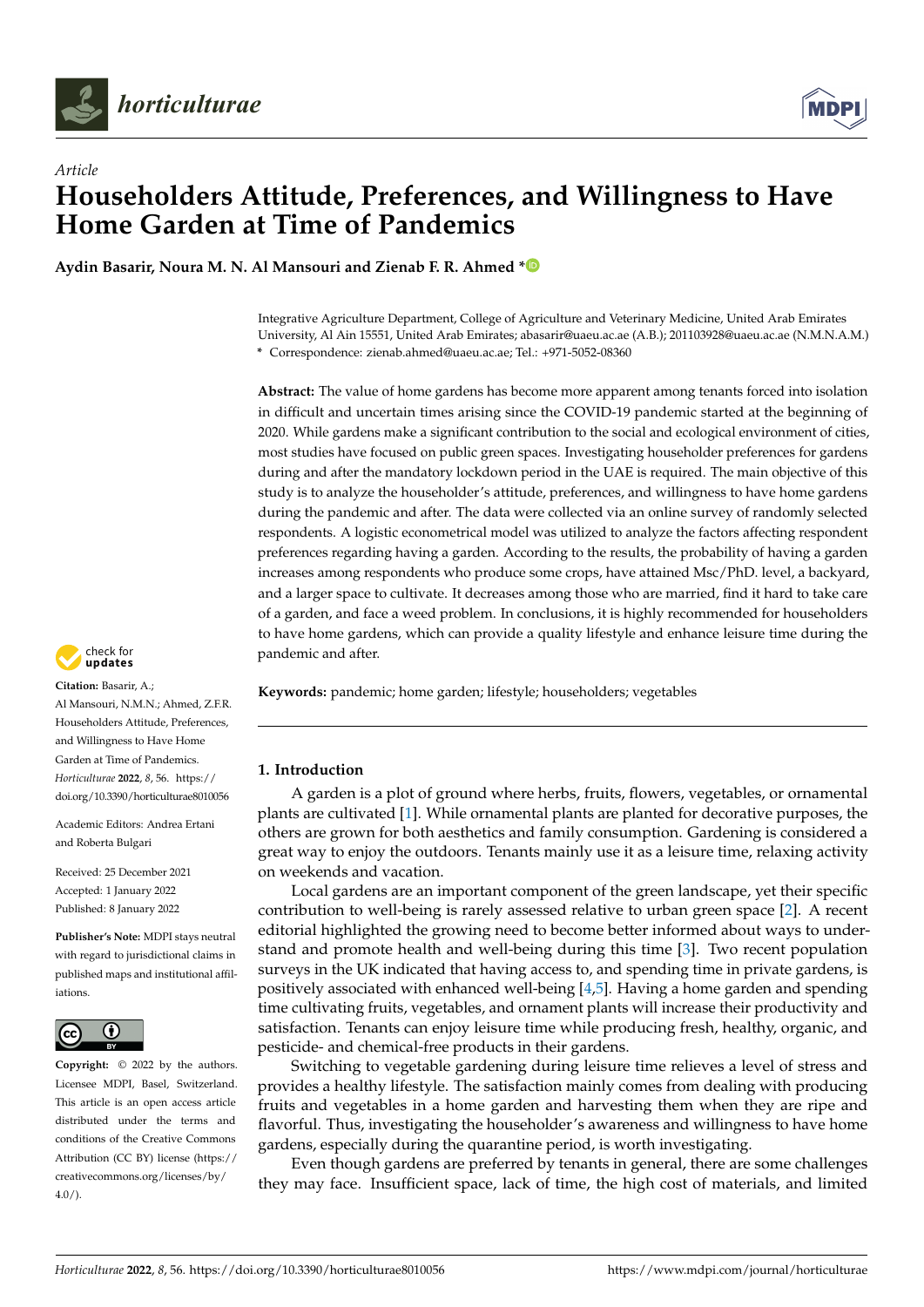



# *Article* **Householders Attitude, Preferences, and Willingness to Have Home Garden at Time of Pandemics**

**Aydin Basarir, Noura M. N. Al Mansouri and Zienab F. R. Ahmed [\\*](https://orcid.org/0000-0003-0952-2203)**

Integrative Agriculture Department, College of Agriculture and Veterinary Medicine, United Arab Emirates University, Al Ain 15551, United Arab Emirates; abasarir@uaeu.ac.ae (A.B.); 201103928@uaeu.ac.ae (N.M.N.A.M.) **\*** Correspondence: zienab.ahmed@uaeu.ac.ae; Tel.: +971-5052-08360

**Abstract:** The value of home gardens has become more apparent among tenants forced into isolation in difficult and uncertain times arising since the COVID-19 pandemic started at the beginning of 2020. While gardens make a significant contribution to the social and ecological environment of cities, most studies have focused on public green spaces. Investigating householder preferences for gardens during and after the mandatory lockdown period in the UAE is required. The main objective of this study is to analyze the householder's attitude, preferences, and willingness to have home gardens during the pandemic and after. The data were collected via an online survey of randomly selected respondents. A logistic econometrical model was utilized to analyze the factors affecting respondent preferences regarding having a garden. According to the results, the probability of having a garden increases among respondents who produce some crops, have attained Msc/PhD. level, a backyard, and a larger space to cultivate. It decreases among those who are married, find it hard to take care of a garden, and face a weed problem. In conclusions, it is highly recommended for householders to have home gardens, which can provide a quality lifestyle and enhance leisure time during the pandemic and after.



## **1. Introduction**

A garden is a plot of ground where herbs, fruits, flowers, vegetables, or ornamental plants are cultivated [\[1\]](#page-9-0). While ornamental plants are planted for decorative purposes, the others are grown for both aesthetics and family consumption. Gardening is considered a great way to enjoy the outdoors. Tenants mainly use it as a leisure time, relaxing activity on weekends and vacation.

Local gardens are an important component of the green landscape, yet their specific contribution to well-being is rarely assessed relative to urban green space [\[2\]](#page-9-1). A recent editorial highlighted the growing need to become better informed about ways to understand and promote health and well-being during this time [\[3\]](#page-9-2). Two recent population surveys in the UK indicated that having access to, and spending time in private gardens, is positively associated with enhanced well-being [\[4](#page-9-3)[,5\]](#page-9-4). Having a home garden and spending time cultivating fruits, vegetables, and ornament plants will increase their productivity and satisfaction. Tenants can enjoy leisure time while producing fresh, healthy, organic, and pesticide- and chemical-free products in their gardens.

Switching to vegetable gardening during leisure time relieves a level of stress and provides a healthy lifestyle. The satisfaction mainly comes from dealing with producing fruits and vegetables in a home garden and harvesting them when they are ripe and flavorful. Thus, investigating the householder's awareness and willingness to have home gardens, especially during the quarantine period, is worth investigating.

Even though gardens are preferred by tenants in general, there are some challenges they may face. Insufficient space, lack of time, the high cost of materials, and limited



**Citation:** Basarir, A.;

Al Mansouri, N.M.N.; Ahmed, Z.F.R. Householders Attitude, Preferences, and Willingness to Have Home Garden at Time of Pandemics. *Horticulturae* **2022**, *8*, 56. [https://](https://doi.org/10.3390/horticulturae8010056) [doi.org/10.3390/horticulturae8010056](https://doi.org/10.3390/horticulturae8010056)

Academic Editors: Andrea Ertani and Roberta Bulgari

Received: 25 December 2021 Accepted: 1 January 2022 Published: 8 January 2022

**Publisher's Note:** MDPI stays neutral with regard to jurisdictional claims in published maps and institutional affiliations.



**Copyright:** © 2022 by the authors. Licensee MDPI, Basel, Switzerland. This article is an open access article distributed under the terms and conditions of the Creative Commons Attribution (CC BY) license [\(https://](https://creativecommons.org/licenses/by/4.0/) [creativecommons.org/licenses/by/](https://creativecommons.org/licenses/by/4.0/)  $4.0/$ ).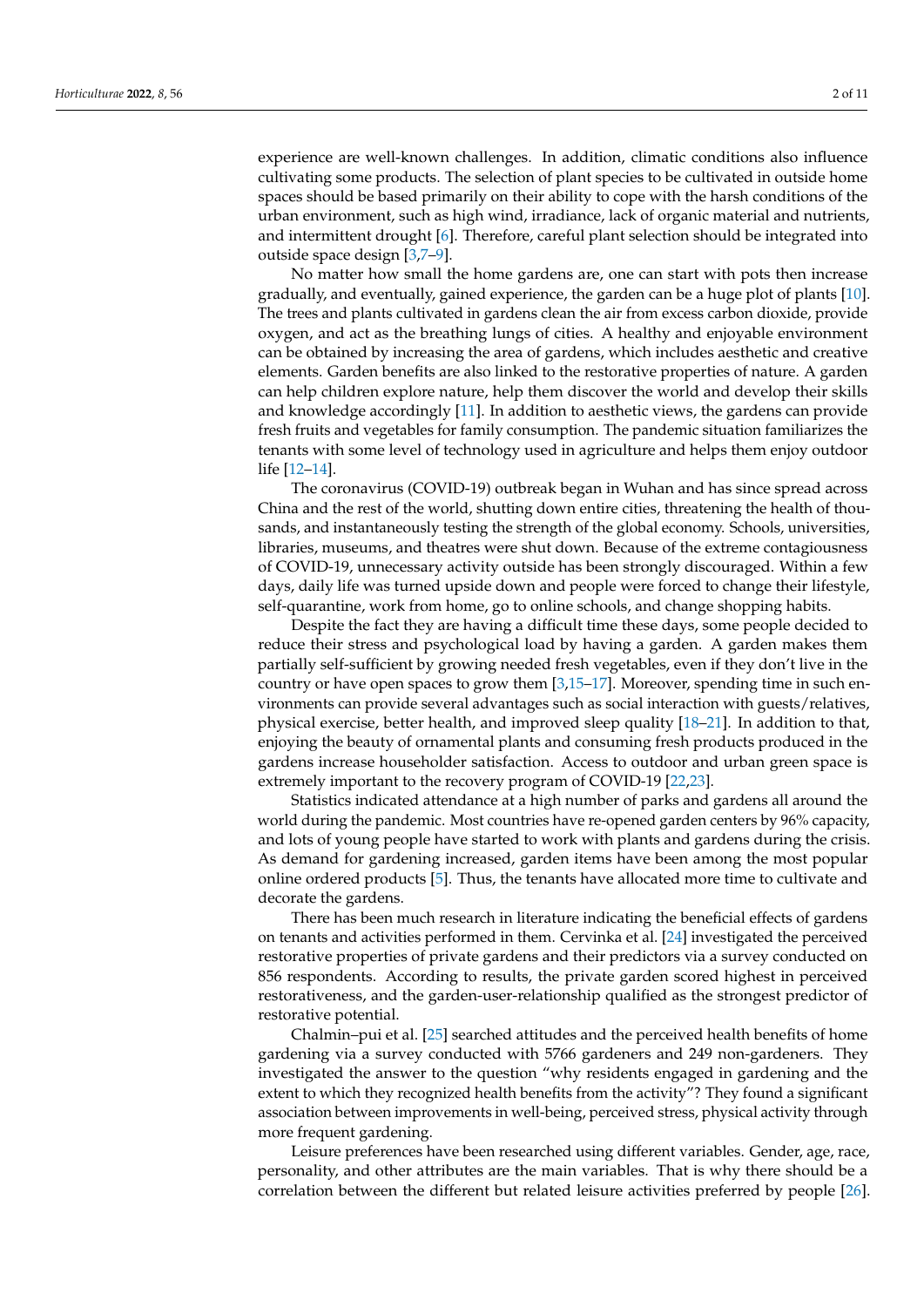experience are well-known challenges. In addition, climatic conditions also influence cultivating some products. The selection of plant species to be cultivated in outside home spaces should be based primarily on their ability to cope with the harsh conditions of the urban environment, such as high wind, irradiance, lack of organic material and nutrients, and intermittent drought [\[6\]](#page-9-5). Therefore, careful plant selection should be integrated into outside space design [\[3,](#page-9-2)[7](#page-9-6)[–9\]](#page-9-7).

No matter how small the home gardens are, one can start with pots then increase gradually, and eventually, gained experience, the garden can be a huge plot of plants [\[10\]](#page-9-8). The trees and plants cultivated in gardens clean the air from excess carbon dioxide, provide oxygen, and act as the breathing lungs of cities. A healthy and enjoyable environment can be obtained by increasing the area of gardens, which includes aesthetic and creative elements. Garden benefits are also linked to the restorative properties of nature. A garden can help children explore nature, help them discover the world and develop their skills and knowledge accordingly [\[11\]](#page-9-9). In addition to aesthetic views, the gardens can provide fresh fruits and vegetables for family consumption. The pandemic situation familiarizes the tenants with some level of technology used in agriculture and helps them enjoy outdoor life [\[12](#page-9-10)[–14\]](#page-9-11).

The coronavirus (COVID-19) outbreak began in Wuhan and has since spread across China and the rest of the world, shutting down entire cities, threatening the health of thousands, and instantaneously testing the strength of the global economy. Schools, universities, libraries, museums, and theatres were shut down. Because of the extreme contagiousness of COVID-19, unnecessary activity outside has been strongly discouraged. Within a few days, daily life was turned upside down and people were forced to change their lifestyle, self-quarantine, work from home, go to online schools, and change shopping habits.

Despite the fact they are having a difficult time these days, some people decided to reduce their stress and psychological load by having a garden. A garden makes them partially self-sufficient by growing needed fresh vegetables, even if they don't live in the country or have open spaces to grow them [\[3](#page-9-2)[,15](#page-10-0)[–17\]](#page-10-1). Moreover, spending time in such environments can provide several advantages such as social interaction with guests/relatives, physical exercise, better health, and improved sleep quality [\[18–](#page-10-2)[21\]](#page-10-3). In addition to that, enjoying the beauty of ornamental plants and consuming fresh products produced in the gardens increase householder satisfaction. Access to outdoor and urban green space is extremely important to the recovery program of COVID-19 [\[22,](#page-10-4)[23\]](#page-10-5).

Statistics indicated attendance at a high number of parks and gardens all around the world during the pandemic. Most countries have re-opened garden centers by 96% capacity, and lots of young people have started to work with plants and gardens during the crisis. As demand for gardening increased, garden items have been among the most popular online ordered products [\[5\]](#page-9-4). Thus, the tenants have allocated more time to cultivate and decorate the gardens.

There has been much research in literature indicating the beneficial effects of gardens on tenants and activities performed in them. Cervinka et al. [\[24\]](#page-10-6) investigated the perceived restorative properties of private gardens and their predictors via a survey conducted on 856 respondents. According to results, the private garden scored highest in perceived restorativeness, and the garden-user-relationship qualified as the strongest predictor of restorative potential.

Chalmin–pui et al. [\[25\]](#page-10-7) searched attitudes and the perceived health benefits of home gardening via a survey conducted with 5766 gardeners and 249 non-gardeners. They investigated the answer to the question "why residents engaged in gardening and the extent to which they recognized health benefits from the activity"? They found a significant association between improvements in well-being, perceived stress, physical activity through more frequent gardening.

Leisure preferences have been researched using different variables. Gender, age, race, personality, and other attributes are the main variables. That is why there should be a correlation between the different but related leisure activities preferred by people [\[26\]](#page-10-8).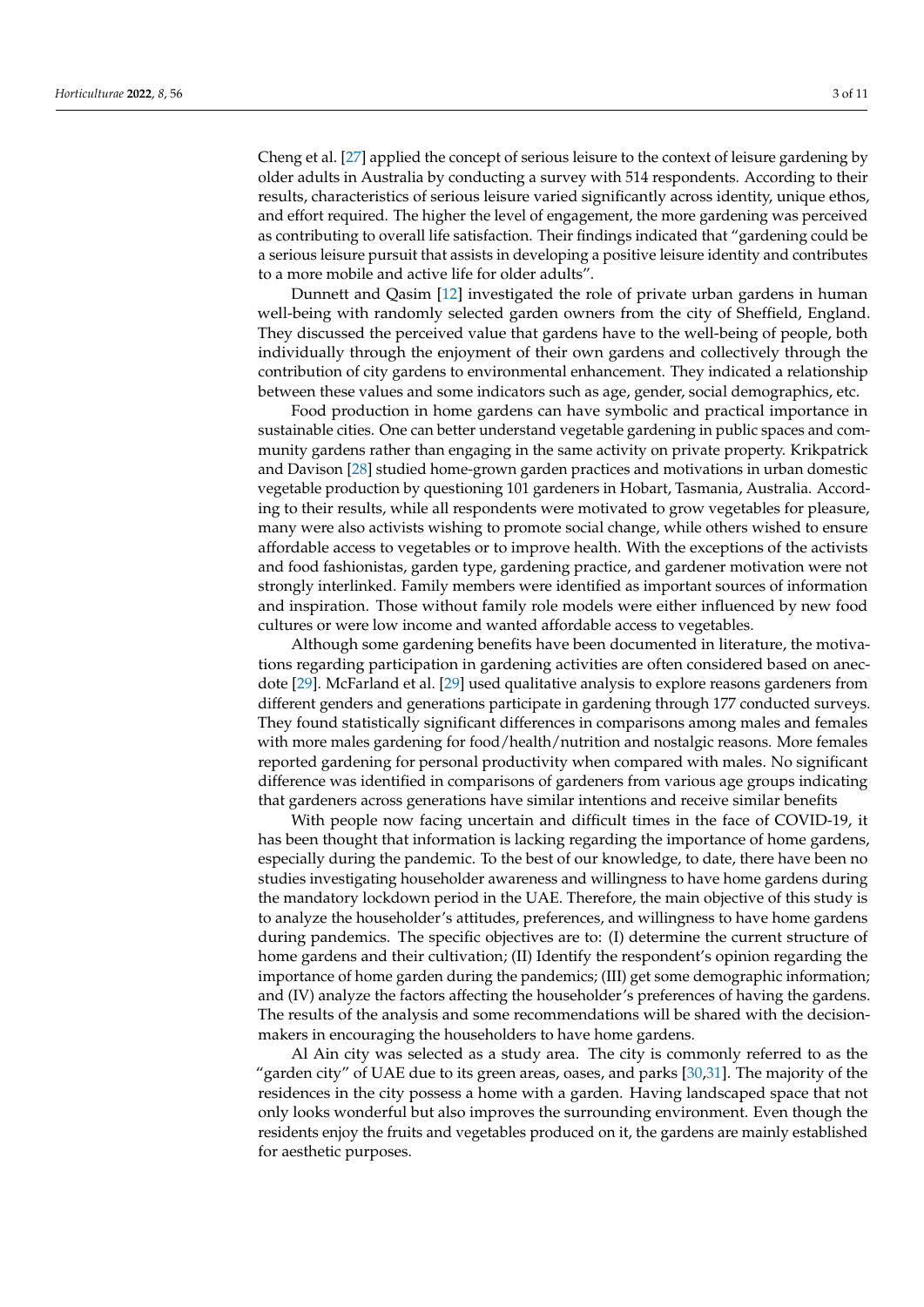Cheng et al. [\[27\]](#page-10-9) applied the concept of serious leisure to the context of leisure gardening by older adults in Australia by conducting a survey with 514 respondents. According to their results, characteristics of serious leisure varied significantly across identity, unique ethos, and effort required. The higher the level of engagement, the more gardening was perceived as contributing to overall life satisfaction. Their findings indicated that "gardening could be a serious leisure pursuit that assists in developing a positive leisure identity and contributes to a more mobile and active life for older adults".

Dunnett and Qasim [\[12\]](#page-9-10) investigated the role of private urban gardens in human well-being with randomly selected garden owners from the city of Sheffield, England. They discussed the perceived value that gardens have to the well-being of people, both individually through the enjoyment of their own gardens and collectively through the contribution of city gardens to environmental enhancement. They indicated a relationship between these values and some indicators such as age, gender, social demographics, etc.

Food production in home gardens can have symbolic and practical importance in sustainable cities. One can better understand vegetable gardening in public spaces and community gardens rather than engaging in the same activity on private property. Krikpatrick and Davison [\[28\]](#page-10-10) studied home-grown garden practices and motivations in urban domestic vegetable production by questioning 101 gardeners in Hobart, Tasmania, Australia. According to their results, while all respondents were motivated to grow vegetables for pleasure, many were also activists wishing to promote social change, while others wished to ensure affordable access to vegetables or to improve health. With the exceptions of the activists and food fashionistas, garden type, gardening practice, and gardener motivation were not strongly interlinked. Family members were identified as important sources of information and inspiration. Those without family role models were either influenced by new food cultures or were low income and wanted affordable access to vegetables.

Although some gardening benefits have been documented in literature, the motivations regarding participation in gardening activities are often considered based on anecdote [\[29\]](#page-10-11). McFarland et al. [\[29\]](#page-10-11) used qualitative analysis to explore reasons gardeners from different genders and generations participate in gardening through 177 conducted surveys. They found statistically significant differences in comparisons among males and females with more males gardening for food/health/nutrition and nostalgic reasons. More females reported gardening for personal productivity when compared with males. No significant difference was identified in comparisons of gardeners from various age groups indicating that gardeners across generations have similar intentions and receive similar benefits

With people now facing uncertain and difficult times in the face of COVID-19, it has been thought that information is lacking regarding the importance of home gardens, especially during the pandemic. To the best of our knowledge, to date, there have been no studies investigating householder awareness and willingness to have home gardens during the mandatory lockdown period in the UAE. Therefore, the main objective of this study is to analyze the householder's attitudes, preferences, and willingness to have home gardens during pandemics. The specific objectives are to: (I) determine the current structure of home gardens and their cultivation; (II) Identify the respondent's opinion regarding the importance of home garden during the pandemics; (III) get some demographic information; and (IV) analyze the factors affecting the householder's preferences of having the gardens. The results of the analysis and some recommendations will be shared with the decisionmakers in encouraging the householders to have home gardens.

Al Ain city was selected as a study area. The city is commonly referred to as the "garden city" of UAE due to its green areas, oases, and parks [\[30,](#page-10-12)[31\]](#page-10-13). The majority of the residences in the city possess a home with a garden. Having landscaped space that not only looks wonderful but also improves the surrounding environment. Even though the residents enjoy the fruits and vegetables produced on it, the gardens are mainly established for aesthetic purposes.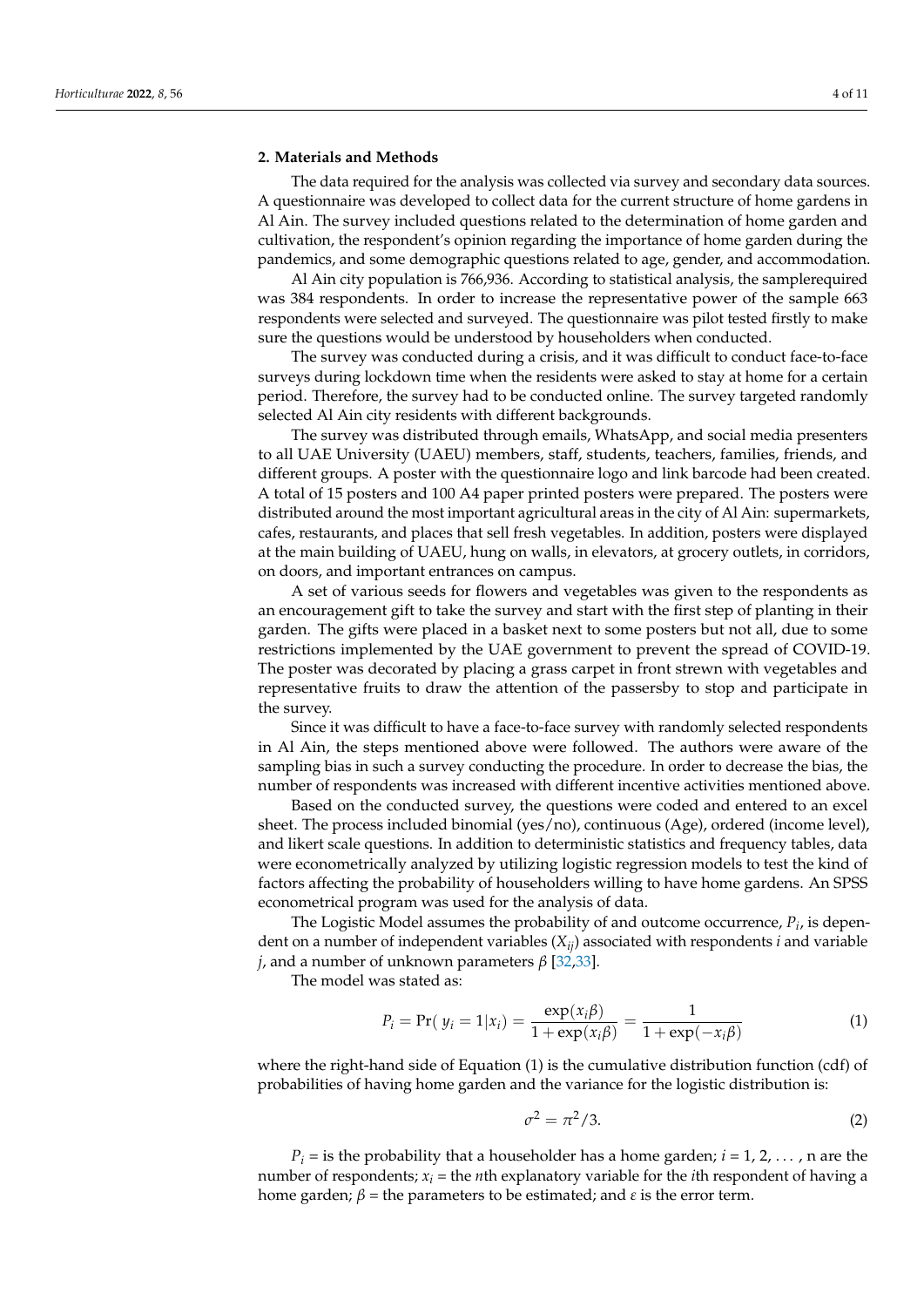### **2. Materials and Methods**

The data required for the analysis was collected via survey and secondary data sources. A questionnaire was developed to collect data for the current structure of home gardens in Al Ain. The survey included questions related to the determination of home garden and cultivation, the respondent's opinion regarding the importance of home garden during the pandemics, and some demographic questions related to age, gender, and accommodation.

Al Ain city population is 766,936. According to statistical analysis, the samplerequired was 384 respondents. In order to increase the representative power of the sample 663 respondents were selected and surveyed. The questionnaire was pilot tested firstly to make sure the questions would be understood by householders when conducted.

The survey was conducted during a crisis, and it was difficult to conduct face-to-face surveys during lockdown time when the residents were asked to stay at home for a certain period. Therefore, the survey had to be conducted online. The survey targeted randomly selected Al Ain city residents with different backgrounds.

The survey was distributed through emails, WhatsApp, and social media presenters to all UAE University (UAEU) members, staff, students, teachers, families, friends, and different groups. A poster with the questionnaire logo and link barcode had been created. A total of 15 posters and 100 A4 paper printed posters were prepared. The posters were distributed around the most important agricultural areas in the city of Al Ain: supermarkets, cafes, restaurants, and places that sell fresh vegetables. In addition, posters were displayed at the main building of UAEU, hung on walls, in elevators, at grocery outlets, in corridors, on doors, and important entrances on campus.

A set of various seeds for flowers and vegetables was given to the respondents as an encouragement gift to take the survey and start with the first step of planting in their garden. The gifts were placed in a basket next to some posters but not all, due to some restrictions implemented by the UAE government to prevent the spread of COVID-19. The poster was decorated by placing a grass carpet in front strewn with vegetables and representative fruits to draw the attention of the passersby to stop and participate in the survey.

Since it was difficult to have a face-to-face survey with randomly selected respondents in Al Ain, the steps mentioned above were followed. The authors were aware of the sampling bias in such a survey conducting the procedure. In order to decrease the bias, the number of respondents was increased with different incentive activities mentioned above.

Based on the conducted survey, the questions were coded and entered to an excel sheet. The process included binomial (yes/no), continuous (Age), ordered (income level), and likert scale questions. In addition to deterministic statistics and frequency tables, data were econometrically analyzed by utilizing logistic regression models to test the kind of factors affecting the probability of householders willing to have home gardens. An SPSS econometrical program was used for the analysis of data.

The Logistic Model assumes the probability of and outcome occurrence, *P<sup>i</sup>* , is dependent on a number of independent variables  $(X_{ii})$  associated with respondents *i* and variable *j*, and a number of unknown parameters *β* [\[32,](#page-10-14)[33\]](#page-10-15).

The model was stated as:

$$
P_i = \Pr(\ y_i = 1 | x_i) = \frac{\exp(x_i \beta)}{1 + \exp(x_i \beta)} = \frac{1}{1 + \exp(-x_i \beta)}
$$
(1)

where the right-hand side of Equation (1) is the cumulative distribution function (cdf) of probabilities of having home garden and the variance for the logistic distribution is:

$$
\sigma^2 = \pi^2/3. \tag{2}
$$

 $P_i$  = is the probability that a householder has a home garden;  $i = 1, 2, \ldots$ , n are the number of respondents; *x<sup>i</sup>* = the *n*th explanatory variable for the *i*th respondent of having a home garden;  $β =$  the parameters to be estimated; and  $ε$  is the error term.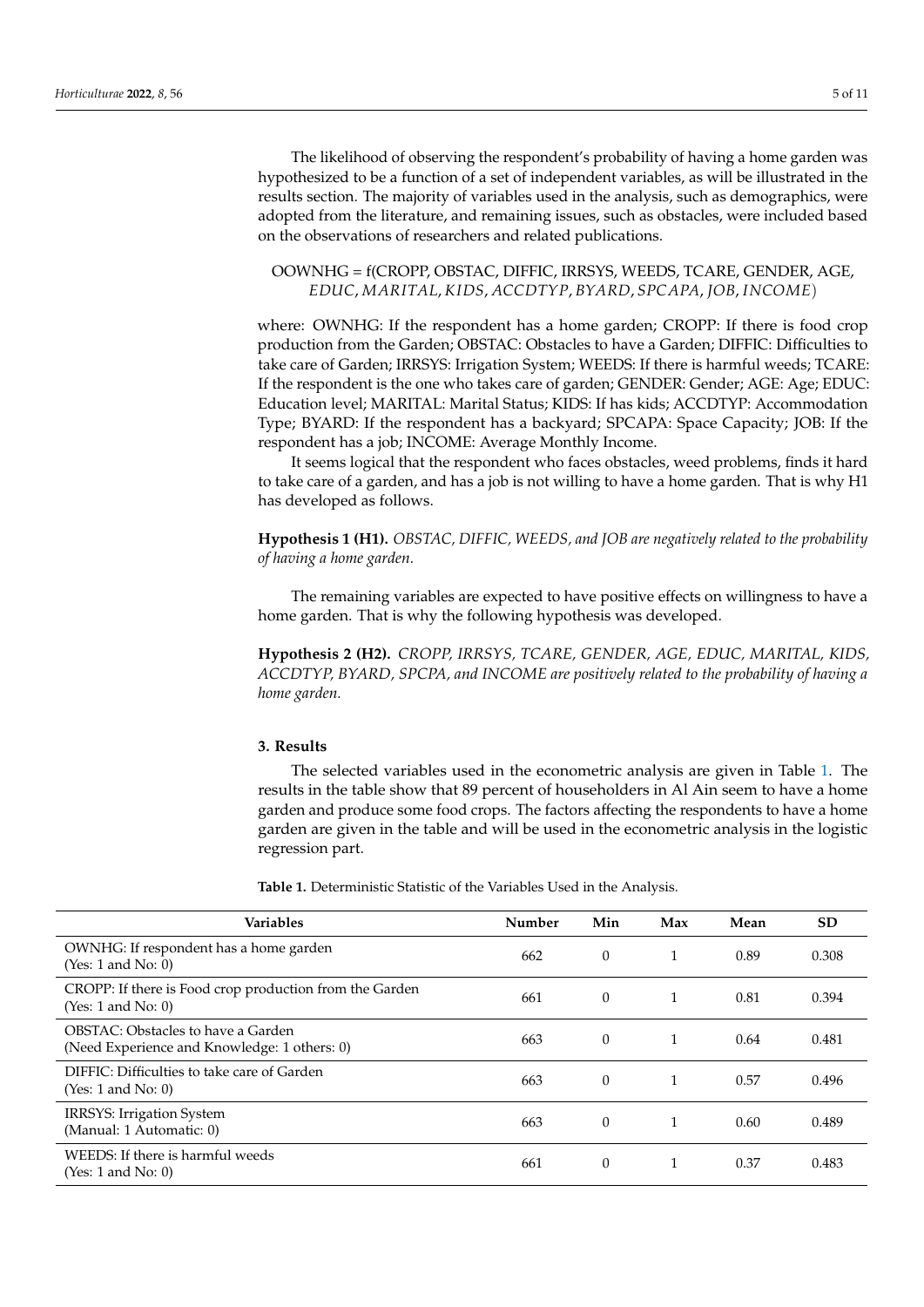The likelihood of observing the respondent's probability of having a home garden was hypothesized to be a function of a set of independent variables, as will be illustrated in the results section. The majority of variables used in the analysis, such as demographics, were adopted from the literature, and remaining issues, such as obstacles, were included based on the observations of researchers and related publications.

## OOWNHG = f(CROPP, OBSTAC, DIFFIC, IRRSYS, WEEDS, TCARE, GENDER, AGE, *EDUC*, *MARITAL*, *K IDS*, *ACCDTYP*, *BYARD*, *SPCAPA*, *JOB*, *INCOME*)

where: OWNHG: If the respondent has a home garden; CROPP: If there is food crop production from the Garden; OBSTAC: Obstacles to have a Garden; DIFFIC: Difficulties to take care of Garden; IRRSYS: Irrigation System; WEEDS: If there is harmful weeds; TCARE: If the respondent is the one who takes care of garden; GENDER: Gender; AGE: Age; EDUC: Education level; MARITAL: Marital Status; KIDS: If has kids; ACCDTYP: Accommodation Type; BYARD: If the respondent has a backyard; SPCAPA: Space Capacity; JOB: If the respondent has a job; INCOME: Average Monthly Income.

It seems logical that the respondent who faces obstacles, weed problems, finds it hard to take care of a garden, and has a job is not willing to have a home garden. That is why H1 has developed as follows.

**Hypothesis 1 (H1).** *OBSTAC, DIFFIC, WEEDS, and JOB are negatively related to the probability of having a home garden.*

The remaining variables are expected to have positive effects on willingness to have a home garden. That is why the following hypothesis was developed.

**Hypothesis 2 (H2).** *CROPP, IRRSYS, TCARE, GENDER, AGE, EDUC, MARITAL, KIDS, ACCDTYP, BYARD, SPCPA, and INCOME are positively related to the probability of having a home garden.*

## **3. Results**

The selected variables used in the econometric analysis are given in Table [1.](#page-5-0) The results in the table show that 89 percent of householders in Al Ain seem to have a home garden and produce some food crops. The factors affecting the respondents to have a home garden are given in the table and will be used in the econometric analysis in the logistic regression part.

**Table 1.** Deterministic Statistic of the Variables Used in the Analysis.

| <b>Variables</b>                                                                   | Number | Min      | Max | Mean | SD.   |
|------------------------------------------------------------------------------------|--------|----------|-----|------|-------|
| OWNHG: If respondent has a home garden<br>(Yes: 1 and No: 0)                       | 662    | $\theta$ |     | 0.89 | 0.308 |
| CROPP: If there is Food crop production from the Garden<br>(Yes: 1 and No: 0)      | 661    | $\theta$ |     | 0.81 | 0.394 |
| OBSTAC: Obstacles to have a Garden<br>(Need Experience and Knowledge: 1 others: 0) | 663    | $\theta$ |     | 0.64 | 0.481 |
| DIFFIC: Difficulties to take care of Garden<br>(Yes: 1 and No: 0)                  | 663    | $\theta$ |     | 0.57 | 0.496 |
| IRRSYS: Irrigation System<br>(Manual: 1 Automatic: 0)                              | 663    | $\theta$ |     | 0.60 | 0.489 |
| WEEDS: If there is harmful weeds<br>(Yes: 1 and No: 0)                             | 661    | $\theta$ |     | 0.37 | 0.483 |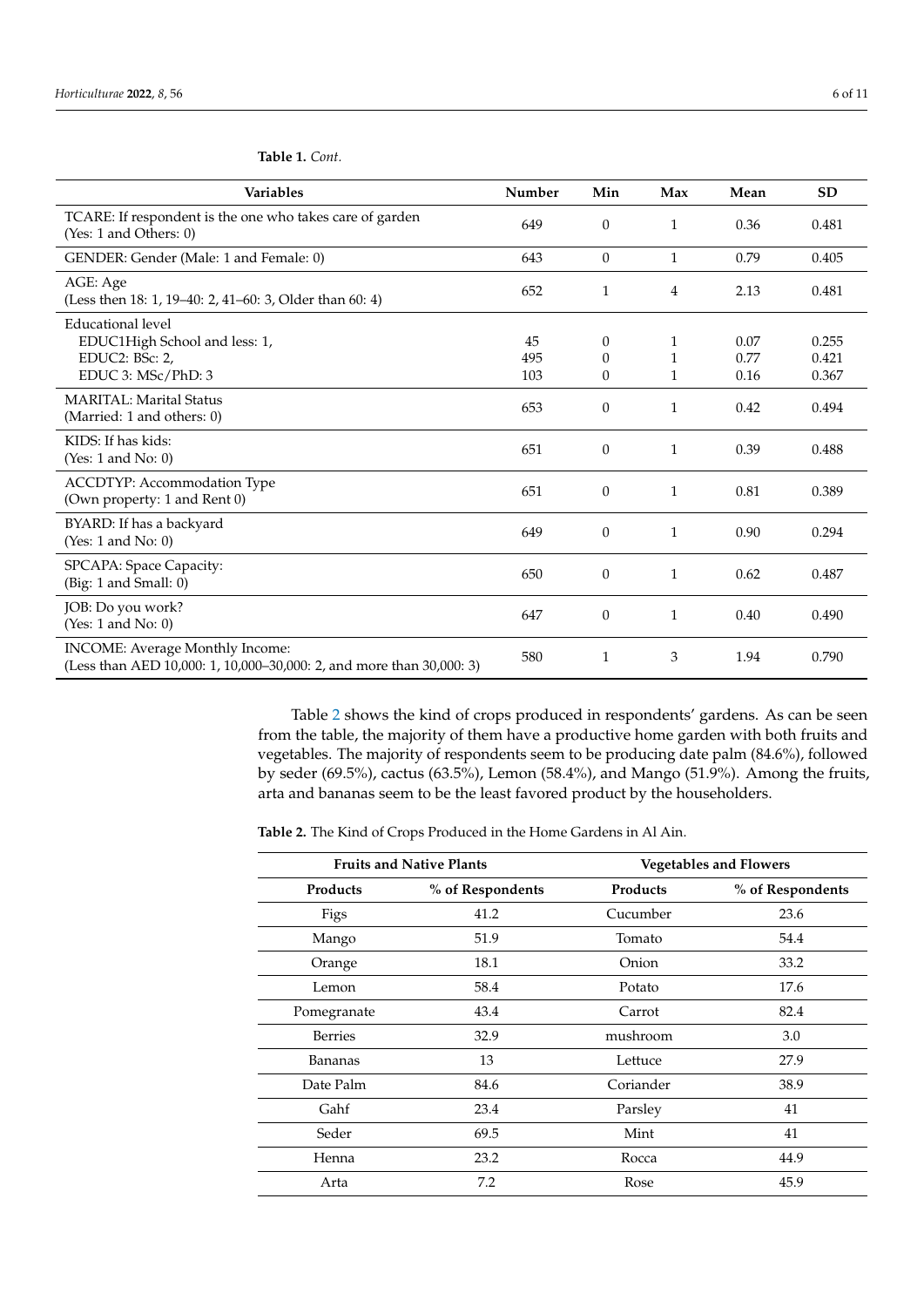| <b>Variables</b>                                                                                        | Number           | Min                                      | Max                    | Mean                 | <b>SD</b>               |
|---------------------------------------------------------------------------------------------------------|------------------|------------------------------------------|------------------------|----------------------|-------------------------|
| TCARE: If respondent is the one who takes care of garden<br>(Yes: 1 and Others: 0)                      | 649              | $\Omega$                                 | $\mathbf{1}$           | 0.36                 | 0.481                   |
| GENDER: Gender (Male: 1 and Female: 0)                                                                  | 643              | $\Omega$                                 | $\mathbf{1}$           | 0.79                 | 0.405                   |
| AGE: Age<br>(Less then 18: 1, 19-40: 2, 41-60: 3, Older than 60: 4)                                     | 652              | 1                                        | 4                      | 2.13                 | 0.481                   |
| Educational level<br>EDUC1High School and less: 1,<br>EDUC2: BSc: 2,<br>EDUC 3: MSc/PhD: 3              | 45<br>495<br>103 | $\theta$<br>$\Omega$<br>$\boldsymbol{0}$ | 1<br>1<br>$\mathbf{1}$ | 0.07<br>0.77<br>0.16 | 0.255<br>0.421<br>0.367 |
| <b>MARITAL: Marital Status</b><br>(Married: 1 and others: 0)                                            | 653              | $\theta$                                 | 1                      | 0.42                 | 0.494                   |
| KIDS: If has kids:<br>(Yes: $1$ and No: $0$ )                                                           | 651              | $\theta$                                 | 1                      | 0.39                 | 0.488                   |
| ACCDTYP: Accommodation Type<br>(Own property: 1 and Rent 0)                                             | 651              | $\theta$                                 | $\mathbf{1}$           | 0.81                 | 0.389                   |
| BYARD: If has a backyard<br>(Yes: 1 and No: 0)                                                          | 649              | $\Omega$                                 | $\mathbf{1}$           | 0.90                 | 0.294                   |
| SPCAPA: Space Capacity:<br>(Big: 1 and Small: 0)                                                        | 650              | $\theta$                                 | 1                      | 0.62                 | 0.487                   |
| JOB: Do you work?<br>(Yes: 1 and No: 0)                                                                 | 647              | $\theta$                                 | 1                      | 0.40                 | 0.490                   |
| INCOME: Average Monthly Income:<br>(Less than AED 10,000: 1, 10,000-30,000: 2, and more than 30,000: 3) | 580              | 1                                        | 3                      | 1.94                 | 0.790                   |

<span id="page-5-0"></span>**Table 1.** *Cont.*

Table [2](#page-6-0) shows the kind of crops produced in respondents' gardens. As can be seen from the table, the majority of them have a productive home garden with both fruits and vegetables. The majority of respondents seem to be producing date palm (84.6%), followed by seder (69.5%), cactus (63.5%), Lemon (58.4%), and Mango (51.9%). Among the fruits, arta and bananas seem to be the least favored product by the householders.

**Table 2.** The Kind of Crops Produced in the Home Gardens in Al Ain.

| <b>Fruits and Native Plants</b> |                  | <b>Vegetables and Flowers</b> |                  |  |
|---------------------------------|------------------|-------------------------------|------------------|--|
| <b>Products</b>                 | % of Respondents | <b>Products</b>               | % of Respondents |  |
| Figs                            | 41.2             | Cucumber                      | 23.6             |  |
| Mango                           | 51.9             | Tomato                        | 54.4             |  |
| Orange                          | 18.1             | Onion                         | 33.2             |  |
| Lemon                           | 58.4             | Potato                        | 17.6             |  |
| Pomegranate                     | 43.4             | Carrot                        | 82.4             |  |
| <b>Berries</b>                  | 32.9             | mushroom                      | 3.0              |  |
| Bananas                         | 13               | Lettuce                       | 27.9             |  |
| Date Palm                       | 84.6             | Coriander                     | 38.9             |  |
| Gahf                            | 23.4             | Parsley                       | 41               |  |
| Seder                           | 69.5             | Mint                          | 41               |  |
| Henna                           | 23.2             | Rocca                         | 44.9             |  |
| Arta                            | 7.2              | Rose                          | 45.9             |  |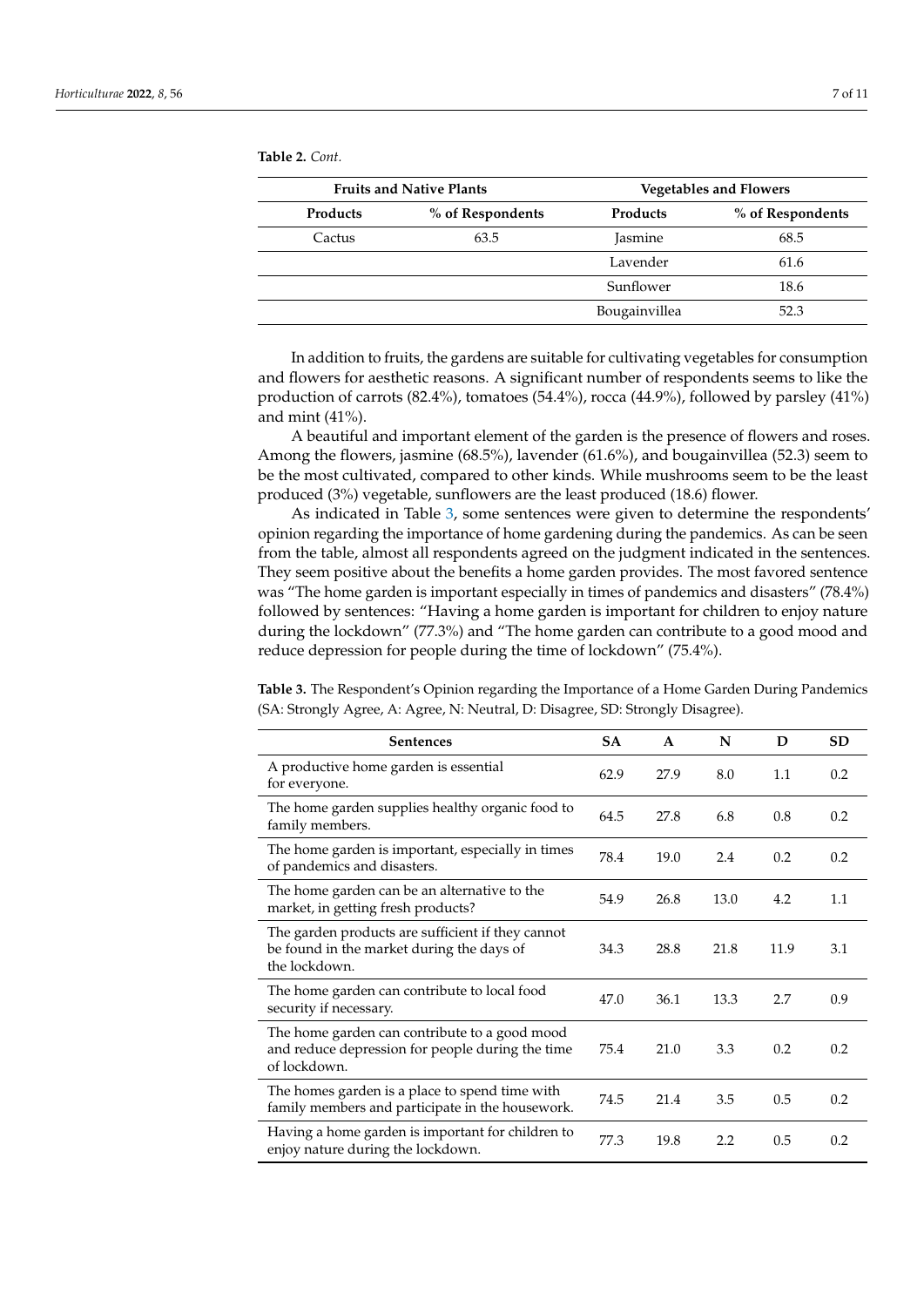<span id="page-6-0"></span>**Table 2.** *Cont.*

| <b>Fruits and Native Plants</b> |                  | <b>Vegetables and Flowers</b> |                  |  |
|---------------------------------|------------------|-------------------------------|------------------|--|
| <b>Products</b>                 | % of Respondents | <b>Products</b>               | % of Respondents |  |
| Cactus                          | 63.5             | <b>Jasmine</b>                | 68.5             |  |
|                                 |                  | Lavender                      | 61.6             |  |
|                                 |                  | Sunflower                     | 18.6             |  |
|                                 |                  | Bougainvillea                 | 52.3             |  |

In addition to fruits, the gardens are suitable for cultivating vegetables for consumption and flowers for aesthetic reasons. A significant number of respondents seems to like the production of carrots (82.4%), tomatoes (54.4%), rocca (44.9%), followed by parsley (41%) and mint (41%).

A beautiful and important element of the garden is the presence of flowers and roses. Among the flowers, jasmine (68.5%), lavender (61.6%), and bougainvillea (52.3) seem to be the most cultivated, compared to other kinds. While mushrooms seem to be the least produced (3%) vegetable, sunflowers are the least produced (18.6) flower.

As indicated in Table [3,](#page-7-0) some sentences were given to determine the respondents' opinion regarding the importance of home gardening during the pandemics. As can be seen from the table, almost all respondents agreed on the judgment indicated in the sentences. They seem positive about the benefits a home garden provides. The most favored sentence was "The home garden is important especially in times of pandemics and disasters" (78.4%) followed by sentences: "Having a home garden is important for children to enjoy nature during the lockdown" (77.3%) and "The home garden can contribute to a good mood and reduce depression for people during the time of lockdown" (75.4%).

Sentences SA A N D SD A productive home garden is essential for everyone. 62.9 27.9 8.0 1.1 0.2 The home garden supplies healthy organic food to family members. 6.8 the members. The home garden is important, especially in times of pandemics and disasters.<br>of pandemics and disasters. The home garden can be an alternative to the market, in getting fresh products?<br>
54.9 26.8 13.0 4.2 1.1 The garden products are sufficient if they cannot be found in the market during the days of the lockdown. 34.3 28.8 21.8 11.9 3.1 The home garden can contribute to local food security if necessary. **All and Security if necessary. a**  $47.0$  **36.1 13.3 2.7 0.9 9.9** The home garden can contribute to a good mood and reduce depression for people during the time of lockdown. 75.4 21.0 3.3 0.2 0.2 The homes garden is a place to spend time with family members and participate in the housework. 74.5 21.4 3.5 0.5 0.2 Having a home garden is important for children to Fraving a nome garden is important for children to 77.3 19.8 2.2 0.5 0.2 enjoy nature during the lockdown.

**Table 3.** The Respondent's Opinion regarding the Importance of a Home Garden During Pandemics (SA: Strongly Agree, A: Agree, N: Neutral, D: Disagree, SD: Strongly Disagree).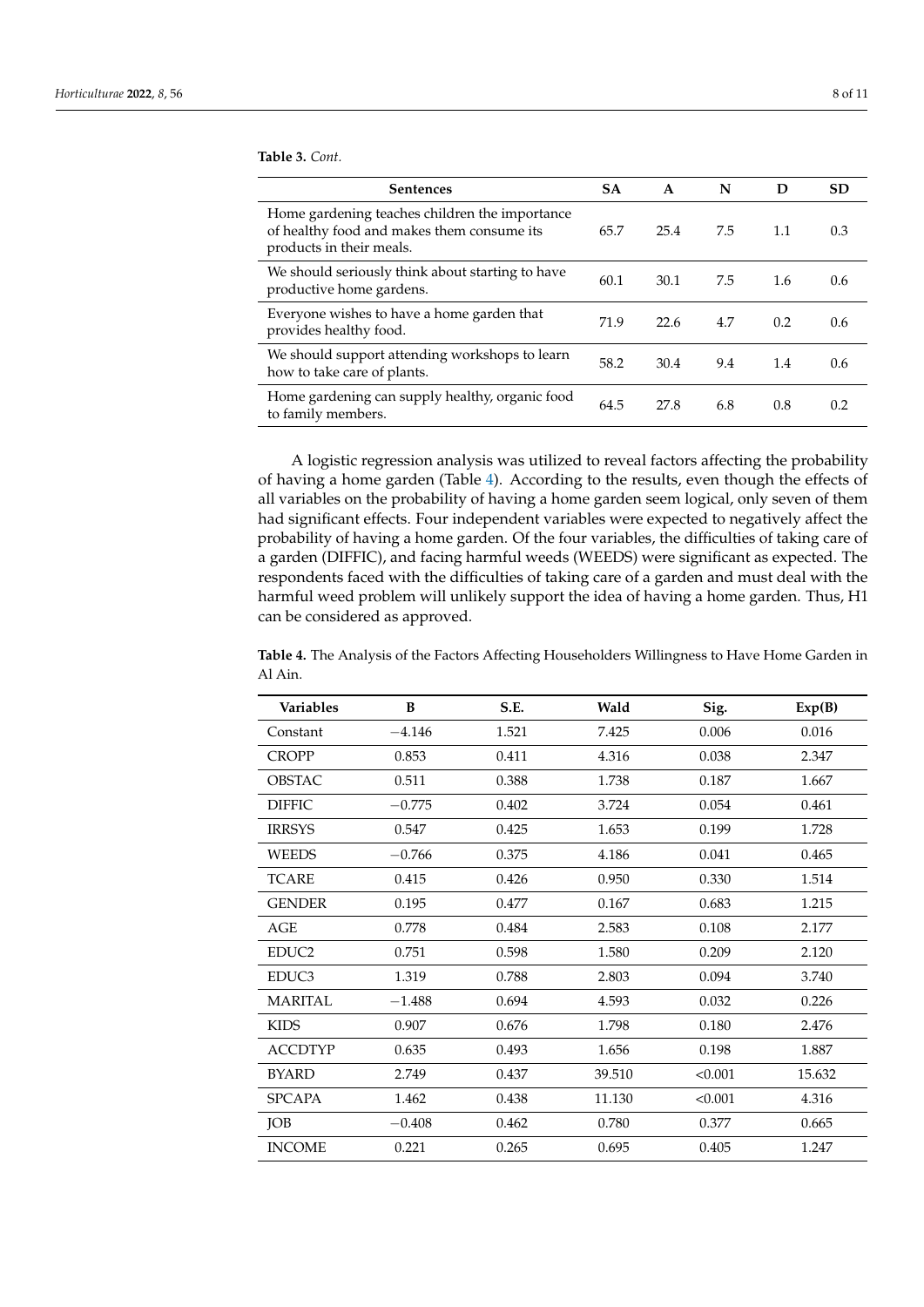| <b>Sentences</b>                                                                                                         | <b>SA</b> | $\mathbf{A}$ | N   | D   | <b>SD</b> |
|--------------------------------------------------------------------------------------------------------------------------|-----------|--------------|-----|-----|-----------|
| Home gardening teaches children the importance<br>of healthy food and makes them consume its<br>products in their meals. | 65.7      | 25.4         | 7.5 | 1.1 | 0.3       |
| We should seriously think about starting to have<br>productive home gardens.                                             | 60.1      | 30.1         | 7.5 | 1.6 | 0.6       |
| Everyone wishes to have a home garden that<br>provides healthy food.                                                     | 71.9      | 22.6         | 4.7 | 0.2 | 0.6       |
| We should support attending workshops to learn<br>how to take care of plants.                                            | 58.2      | 30.4         | 9.4 | 1.4 | 0.6       |
| Home gardening can supply healthy, organic food<br>to family members.                                                    | 64.5      | 27.8         | 6.8 | 0.8 | 0.2       |

A logistic regression analysis was utilized to reveal factors affecting the probability of having a home garden (Table [4\)](#page-7-1). According to the results, even though the effects of all variables on the probability of having a home garden seem logical, only seven of them had significant effects. Four independent variables were expected to negatively affect the probability of having a home garden. Of the four variables, the difficulties of taking care of a garden (DIFFIC), and facing harmful weeds (WEEDS) were significant as expected. The respondents faced with the difficulties of taking care of a garden and must deal with the harmful weed problem will unlikely support the idea of having a home garden. Thus, H1 can be considered as approved.

<span id="page-7-1"></span>**Table 4.** The Analysis of the Factors Affecting Householders Willingness to Have Home Garden in Al Ain.

| <b>Variables</b>  | B        | S.E.  | Wald   | Sig.    | Exp(B) |
|-------------------|----------|-------|--------|---------|--------|
| Constant          | $-4.146$ | 1.521 | 7.425  | 0.006   | 0.016  |
| <b>CROPP</b>      | 0.853    | 0.411 | 4.316  | 0.038   | 2.347  |
| <b>OBSTAC</b>     | 0.511    | 0.388 | 1.738  | 0.187   | 1.667  |
| <b>DIFFIC</b>     | $-0.775$ | 0.402 | 3.724  | 0.054   | 0.461  |
| <b>IRRSYS</b>     | 0.547    | 0.425 | 1.653  | 0.199   | 1.728  |
| <b>WEEDS</b>      | $-0.766$ | 0.375 | 4.186  | 0.041   | 0.465  |
| <b>TCARE</b>      | 0.415    | 0.426 | 0.950  | 0.330   | 1.514  |
| <b>GENDER</b>     | 0.195    | 0.477 | 0.167  | 0.683   | 1.215  |
| AGE               | 0.778    | 0.484 | 2.583  | 0.108   | 2.177  |
| EDUC2             | 0.751    | 0.598 | 1.580  | 0.209   | 2.120  |
| EDUC <sub>3</sub> | 1.319    | 0.788 | 2.803  | 0.094   | 3.740  |
| <b>MARITAL</b>    | $-1.488$ | 0.694 | 4.593  | 0.032   | 0.226  |
| <b>KIDS</b>       | 0.907    | 0.676 | 1.798  | 0.180   | 2.476  |
| <b>ACCDTYP</b>    | 0.635    | 0.493 | 1.656  | 0.198   | 1.887  |
| <b>BYARD</b>      | 2.749    | 0.437 | 39.510 | < 0.001 | 15.632 |
| <b>SPCAPA</b>     | 1.462    | 0.438 | 11.130 | < 0.001 | 4.316  |
| JOB               | $-0.408$ | 0.462 | 0.780  | 0.377   | 0.665  |
| <b>INCOME</b>     | 0.221    | 0.265 | 0.695  | 0.405   | 1.247  |

<span id="page-7-0"></span>**Table 3.** *Cont.*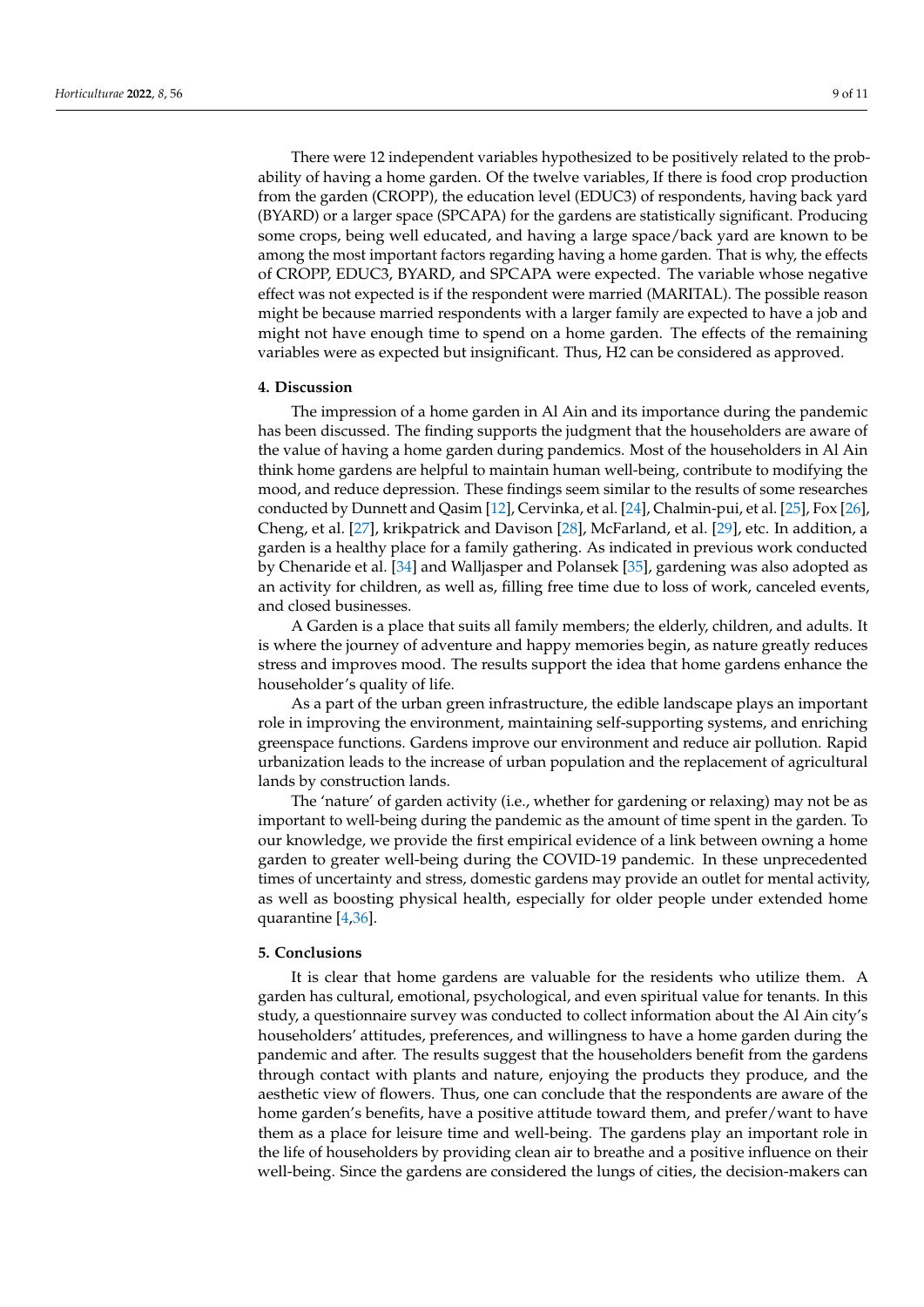There were 12 independent variables hypothesized to be positively related to the probability of having a home garden. Of the twelve variables, If there is food crop production from the garden (CROPP), the education level (EDUC3) of respondents, having back yard (BYARD) or a larger space (SPCAPA) for the gardens are statistically significant. Producing some crops, being well educated, and having a large space/back yard are known to be among the most important factors regarding having a home garden. That is why, the effects of CROPP, EDUC3, BYARD, and SPCAPA were expected. The variable whose negative effect was not expected is if the respondent were married (MARITAL). The possible reason might be because married respondents with a larger family are expected to have a job and might not have enough time to spend on a home garden. The effects of the remaining variables were as expected but insignificant. Thus, H2 can be considered as approved.

#### **4. Discussion**

The impression of a home garden in Al Ain and its importance during the pandemic has been discussed. The finding supports the judgment that the householders are aware of the value of having a home garden during pandemics. Most of the householders in Al Ain think home gardens are helpful to maintain human well-being, contribute to modifying the mood, and reduce depression. These findings seem similar to the results of some researches conducted by Dunnett and Qasim [\[12\]](#page-9-10), Cervinka, et al. [\[24\]](#page-10-6), Chalmin-pui, et al. [\[25\]](#page-10-7), Fox [\[26\]](#page-10-8), Cheng, et al. [\[27\]](#page-10-9), krikpatrick and Davison [\[28\]](#page-10-10), McFarland, et al. [\[29\]](#page-10-11), etc. In addition, a garden is a healthy place for a family gathering. As indicated in previous work conducted by Chenaride et al. [\[34\]](#page-10-16) and Walljasper and Polansek [\[35\]](#page-10-17), gardening was also adopted as an activity for children, as well as, filling free time due to loss of work, canceled events, and closed businesses.

A Garden is a place that suits all family members; the elderly, children, and adults. It is where the journey of adventure and happy memories begin, as nature greatly reduces stress and improves mood. The results support the idea that home gardens enhance the householder's quality of life.

As a part of the urban green infrastructure, the edible landscape plays an important role in improving the environment, maintaining self-supporting systems, and enriching greenspace functions. Gardens improve our environment and reduce air pollution. Rapid urbanization leads to the increase of urban population and the replacement of agricultural lands by construction lands.

The 'nature' of garden activity (i.e., whether for gardening or relaxing) may not be as important to well-being during the pandemic as the amount of time spent in the garden. To our knowledge, we provide the first empirical evidence of a link between owning a home garden to greater well-being during the COVID-19 pandemic. In these unprecedented times of uncertainty and stress, domestic gardens may provide an outlet for mental activity, as well as boosting physical health, especially for older people under extended home quarantine [\[4](#page-9-3)[,36\]](#page-10-18).

#### **5. Conclusions**

It is clear that home gardens are valuable for the residents who utilize them. A garden has cultural, emotional, psychological, and even spiritual value for tenants. In this study, a questionnaire survey was conducted to collect information about the Al Ain city's householders' attitudes, preferences, and willingness to have a home garden during the pandemic and after. The results suggest that the householders benefit from the gardens through contact with plants and nature, enjoying the products they produce, and the aesthetic view of flowers. Thus, one can conclude that the respondents are aware of the home garden's benefits, have a positive attitude toward them, and prefer/want to have them as a place for leisure time and well-being. The gardens play an important role in the life of householders by providing clean air to breathe and a positive influence on their well-being. Since the gardens are considered the lungs of cities, the decision-makers can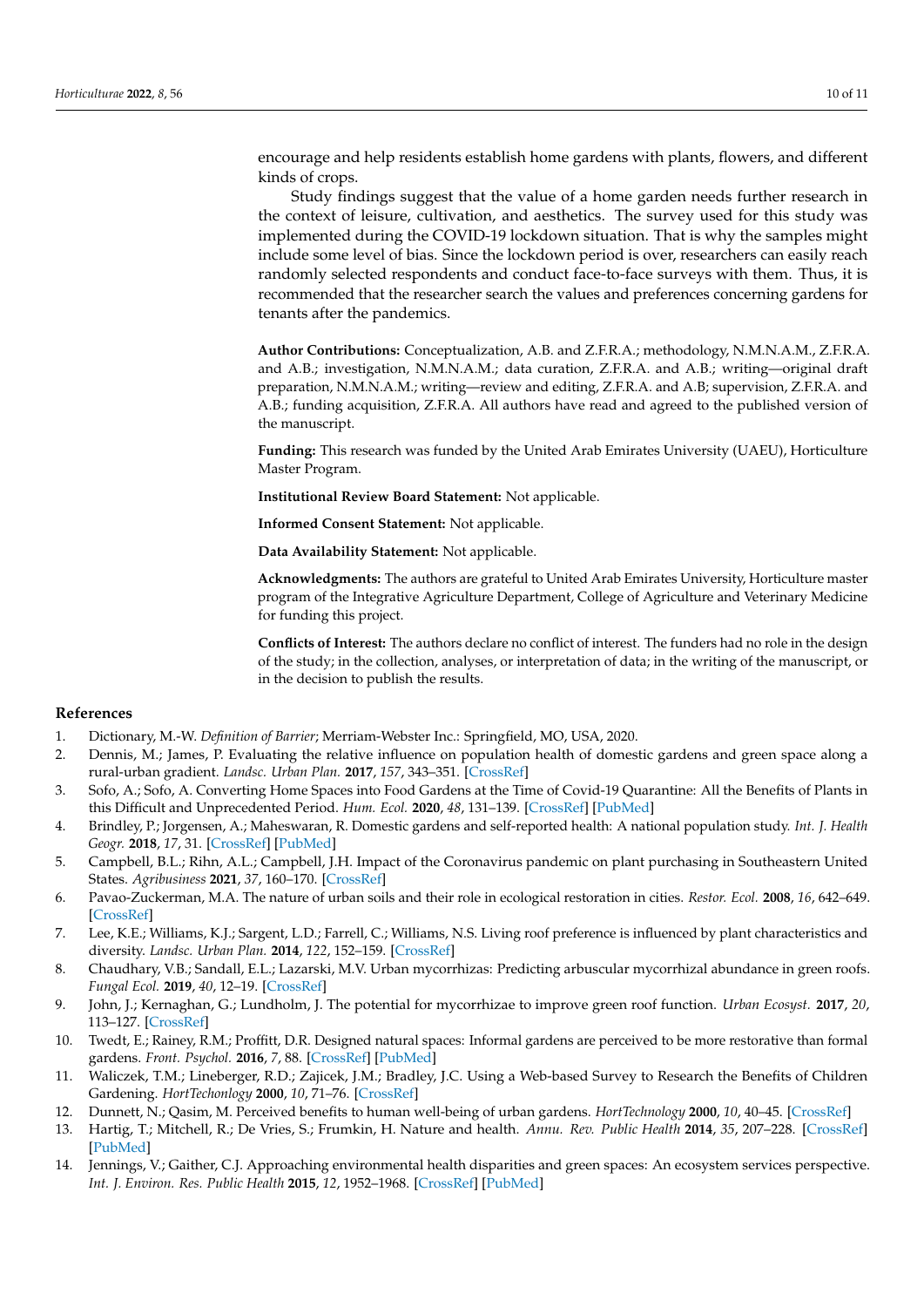encourage and help residents establish home gardens with plants, flowers, and different kinds of crops.

Study findings suggest that the value of a home garden needs further research in the context of leisure, cultivation, and aesthetics. The survey used for this study was implemented during the COVID-19 lockdown situation. That is why the samples might include some level of bias. Since the lockdown period is over, researchers can easily reach randomly selected respondents and conduct face-to-face surveys with them. Thus, it is recommended that the researcher search the values and preferences concerning gardens for tenants after the pandemics.

**Author Contributions:** Conceptualization, A.B. and Z.F.R.A.; methodology, N.M.N.A.M., Z.F.R.A. and A.B.; investigation, N.M.N.A.M.; data curation, Z.F.R.A. and A.B.; writing—original draft preparation, N.M.N.A.M.; writing—review and editing, Z.F.R.A. and A.B; supervision, Z.F.R.A. and A.B.; funding acquisition, Z.F.R.A. All authors have read and agreed to the published version of the manuscript.

**Funding:** This research was funded by the United Arab Emirates University (UAEU), Horticulture Master Program.

**Institutional Review Board Statement:** Not applicable.

**Informed Consent Statement:** Not applicable.

**Data Availability Statement:** Not applicable.

**Acknowledgments:** The authors are grateful to United Arab Emirates University, Horticulture master program of the Integrative Agriculture Department, College of Agriculture and Veterinary Medicine for funding this project.

**Conflicts of Interest:** The authors declare no conflict of interest. The funders had no role in the design of the study; in the collection, analyses, or interpretation of data; in the writing of the manuscript, or in the decision to publish the results.

#### **References**

- <span id="page-9-0"></span>1. Dictionary, M.-W. *Definition of Barrier*; Merriam-Webster Inc.: Springfield, MO, USA, 2020.
- <span id="page-9-1"></span>2. Dennis, M.; James, P. Evaluating the relative influence on population health of domestic gardens and green space along a rural-urban gradient. *Landsc. Urban Plan.* **2017**, *157*, 343–351. [\[CrossRef\]](http://doi.org/10.1016/j.landurbplan.2016.08.009)
- <span id="page-9-2"></span>3. Sofo, A.; Sofo, A. Converting Home Spaces into Food Gardens at the Time of Covid-19 Quarantine: All the Benefits of Plants in this Difficult and Unprecedented Period. *Hum. Ecol.* **2020**, *48*, 131–139. [\[CrossRef\]](http://doi.org/10.1007/s10745-020-00147-3) [\[PubMed\]](http://www.ncbi.nlm.nih.gov/pubmed/32317823)
- <span id="page-9-3"></span>4. Brindley, P.; Jorgensen, A.; Maheswaran, R. Domestic gardens and self-reported health: A national population study. *Int. J. Health Geogr.* **2018**, *17*, 31. [\[CrossRef\]](http://doi.org/10.1186/s12942-018-0148-6) [\[PubMed\]](http://www.ncbi.nlm.nih.gov/pubmed/30064435)
- <span id="page-9-4"></span>5. Campbell, B.L.; Rihn, A.L.; Campbell, J.H. Impact of the Coronavirus pandemic on plant purchasing in Southeastern United States. *Agribusiness* **2021**, *37*, 160–170. [\[CrossRef\]](http://doi.org/10.1002/agr.21685)
- <span id="page-9-5"></span>6. Pavao-Zuckerman, M.A. The nature of urban soils and their role in ecological restoration in cities. *Restor. Ecol.* **2008**, *16*, 642–649. [\[CrossRef\]](http://doi.org/10.1111/j.1526-100X.2008.00486.x)
- <span id="page-9-6"></span>7. Lee, K.E.; Williams, K.J.; Sargent, L.D.; Farrell, C.; Williams, N.S. Living roof preference is influenced by plant characteristics and diversity. *Landsc. Urban Plan.* **2014**, *122*, 152–159. [\[CrossRef\]](http://doi.org/10.1016/j.landurbplan.2013.09.011)
- 8. Chaudhary, V.B.; Sandall, E.L.; Lazarski, M.V. Urban mycorrhizas: Predicting arbuscular mycorrhizal abundance in green roofs. *Fungal Ecol.* **2019**, *40*, 12–19. [\[CrossRef\]](http://doi.org/10.1016/j.funeco.2018.03.002)
- <span id="page-9-7"></span>9. John, J.; Kernaghan, G.; Lundholm, J. The potential for mycorrhizae to improve green roof function. *Urban Ecosyst.* **2017**, *20*, 113–127. [\[CrossRef\]](http://doi.org/10.1007/s11252-016-0573-x)
- <span id="page-9-8"></span>10. Twedt, E.; Rainey, R.M.; Proffitt, D.R. Designed natural spaces: Informal gardens are perceived to be more restorative than formal gardens. *Front. Psychol.* **2016**, *7*, 88. [\[CrossRef\]](http://doi.org/10.3389/fpsyg.2016.00088) [\[PubMed\]](http://www.ncbi.nlm.nih.gov/pubmed/26903899)
- <span id="page-9-9"></span>11. Waliczek, T.M.; Lineberger, R.D.; Zajicek, J.M.; Bradley, J.C. Using a Web-based Survey to Research the Benefits of Children Gardening. *HortTechonlogy* **2000**, *10*, 71–76. [\[CrossRef\]](http://doi.org/10.21273/HORTTECH.10.1.71)
- <span id="page-9-10"></span>12. Dunnett, N.; Qasim, M. Perceived benefits to human well-being of urban gardens. *HortTechnology* **2000**, *10*, 40–45. [\[CrossRef\]](http://doi.org/10.21273/HORTTECH.10.1.40)
- 13. Hartig, T.; Mitchell, R.; De Vries, S.; Frumkin, H. Nature and health. *Annu. Rev. Public Health* **2014**, *35*, 207–228. [\[CrossRef\]](http://doi.org/10.1146/annurev-publhealth-032013-182443) [\[PubMed\]](http://www.ncbi.nlm.nih.gov/pubmed/24387090)
- <span id="page-9-11"></span>14. Jennings, V.; Gaither, C.J. Approaching environmental health disparities and green spaces: An ecosystem services perspective. *Int. J. Environ. Res. Public Health* **2015**, *12*, 1952–1968. [\[CrossRef\]](http://doi.org/10.3390/ijerph120201952) [\[PubMed\]](http://www.ncbi.nlm.nih.gov/pubmed/25674782)